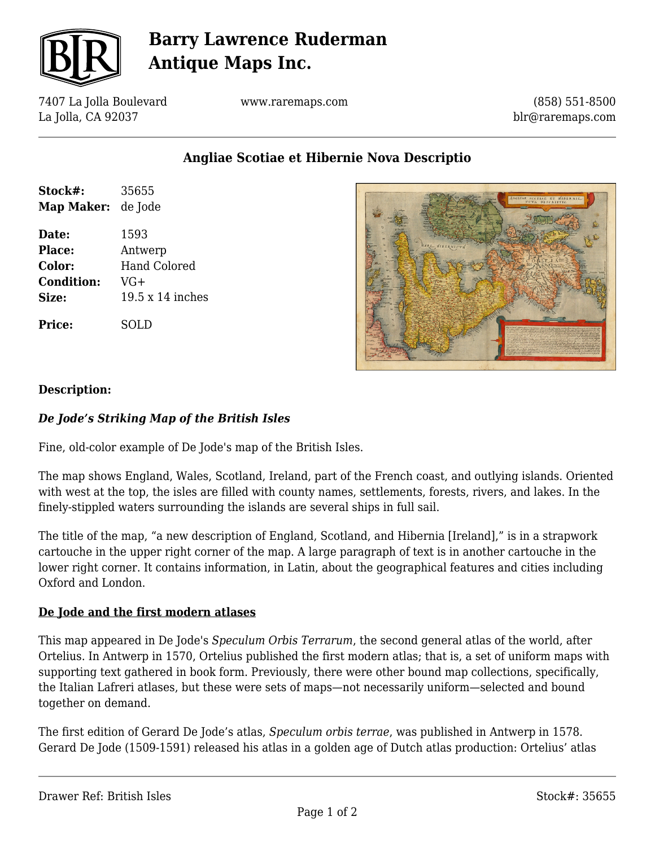

# **Barry Lawrence Ruderman Antique Maps Inc.**

7407 La Jolla Boulevard La Jolla, CA 92037

www.raremaps.com

(858) 551-8500 blr@raremaps.com

**Angliae Scotiae et Hibernie Nova Descriptio**

| Stock#:           | 35655               |
|-------------------|---------------------|
| <b>Map Maker:</b> | de Jode             |
| Date:             | 1593                |
| <b>Place:</b>     | Antwerp             |
| Color:            | <b>Hand Colored</b> |
| <b>Condition:</b> | $VG+$               |
| Size:             | 19.5 x 14 inches    |
| <b>Price:</b>     | SOLD                |



### **Description:**

### *De Jode's Striking Map of the British Isles*

Fine, old-color example of De Jode's map of the British Isles.

The map shows England, Wales, Scotland, Ireland, part of the French coast, and outlying islands. Oriented with west at the top, the isles are filled with county names, settlements, forests, rivers, and lakes. In the finely-stippled waters surrounding the islands are several ships in full sail.

The title of the map, "a new description of England, Scotland, and Hibernia [Ireland]," is in a strapwork cartouche in the upper right corner of the map. A large paragraph of text is in another cartouche in the lower right corner. It contains information, in Latin, about the geographical features and cities including Oxford and London.

#### **De Jode and the first modern atlases**

This map appeared in De Jode's *Speculum Orbis Terrarum*, the second general atlas of the world, after Ortelius. In Antwerp in 1570, Ortelius published the first modern atlas; that is, a set of uniform maps with supporting text gathered in book form. Previously, there were other bound map collections, specifically, the Italian Lafreri atlases, but these were sets of maps—not necessarily uniform—selected and bound together on demand.

The first edition of Gerard De Jode's atlas, *Speculum orbis terrae*, was published in Antwerp in 1578. Gerard De Jode (1509-1591) released his atlas in a golden age of Dutch atlas production: Ortelius' atlas